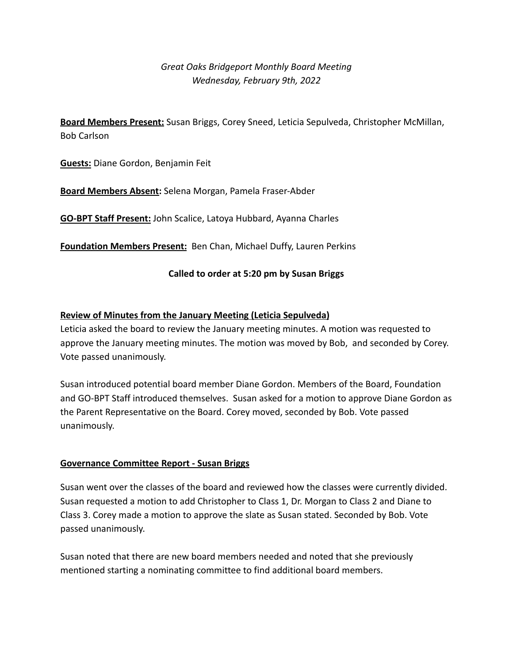# *Great Oaks Bridgeport Monthly Board Meeting Wednesday, February 9th, 2022*

**Board Members Present:** Susan Briggs, Corey Sneed, Leticia Sepulveda, Christopher McMillan, Bob Carlson

**Guests:** Diane Gordon, Benjamin Feit

**Board Members Absent:** Selena Morgan, Pamela Fraser-Abder

**GO-BPT Staff Present:** John Scalice, Latoya Hubbard, Ayanna Charles

**Foundation Members Present:** Ben Chan, Michael Duffy, Lauren Perkins

## **Called to order at 5:20 pm by Susan Briggs**

## **Review of Minutes from the January Meeting (Leticia Sepulveda)**

Leticia asked the board to review the January meeting minutes. A motion was requested to approve the January meeting minutes. The motion was moved by Bob, and seconded by Corey. Vote passed unanimously.

Susan introduced potential board member Diane Gordon. Members of the Board, Foundation and GO-BPT Staff introduced themselves. Susan asked for a motion to approve Diane Gordon as the Parent Representative on the Board. Corey moved, seconded by Bob. Vote passed unanimously.

#### **Governance Committee Report - Susan Briggs**

Susan went over the classes of the board and reviewed how the classes were currently divided. Susan requested a motion to add Christopher to Class 1, Dr. Morgan to Class 2 and Diane to Class 3. Corey made a motion to approve the slate as Susan stated. Seconded by Bob. Vote passed unanimously.

Susan noted that there are new board members needed and noted that she previously mentioned starting a nominating committee to find additional board members.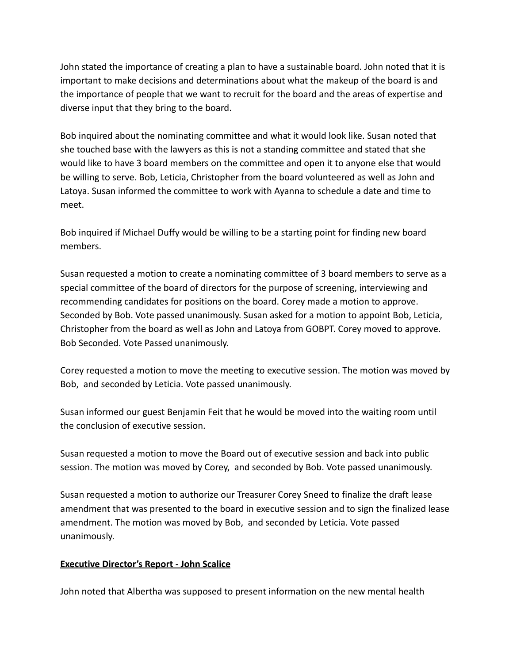John stated the importance of creating a plan to have a sustainable board. John noted that it is important to make decisions and determinations about what the makeup of the board is and the importance of people that we want to recruit for the board and the areas of expertise and diverse input that they bring to the board.

Bob inquired about the nominating committee and what it would look like. Susan noted that she touched base with the lawyers as this is not a standing committee and stated that she would like to have 3 board members on the committee and open it to anyone else that would be willing to serve. Bob, Leticia, Christopher from the board volunteered as well as John and Latoya. Susan informed the committee to work with Ayanna to schedule a date and time to meet.

Bob inquired if Michael Duffy would be willing to be a starting point for finding new board members.

Susan requested a motion to create a nominating committee of 3 board members to serve as a special committee of the board of directors for the purpose of screening, interviewing and recommending candidates for positions on the board. Corey made a motion to approve. Seconded by Bob. Vote passed unanimously. Susan asked for a motion to appoint Bob, Leticia, Christopher from the board as well as John and Latoya from GOBPT. Corey moved to approve. Bob Seconded. Vote Passed unanimously.

Corey requested a motion to move the meeting to executive session. The motion was moved by Bob, and seconded by Leticia. Vote passed unanimously.

Susan informed our guest Benjamin Feit that he would be moved into the waiting room until the conclusion of executive session.

Susan requested a motion to move the Board out of executive session and back into public session. The motion was moved by Corey, and seconded by Bob. Vote passed unanimously.

Susan requested a motion to authorize our Treasurer Corey Sneed to finalize the draft lease amendment that was presented to the board in executive session and to sign the finalized lease amendment. The motion was moved by Bob, and seconded by Leticia. Vote passed unanimously.

# **Executive Director's Report - John Scalice**

John noted that Albertha was supposed to present information on the new mental health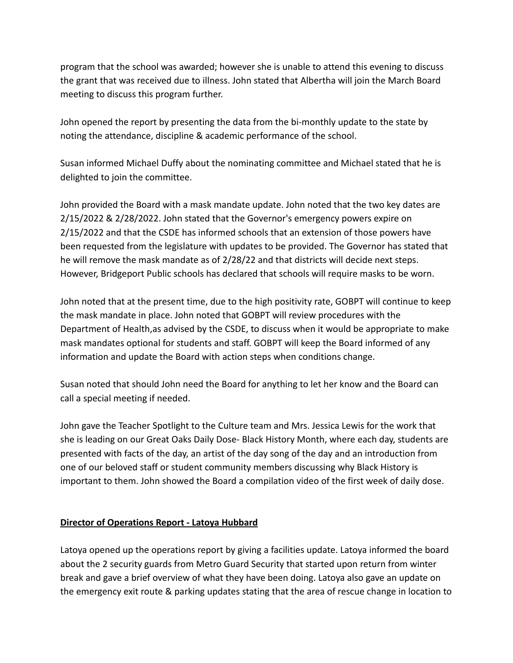program that the school was awarded; however she is unable to attend this evening to discuss the grant that was received due to illness. John stated that Albertha will join the March Board meeting to discuss this program further.

John opened the report by presenting the data from the bi-monthly update to the state by noting the attendance, discipline & academic performance of the school.

Susan informed Michael Duffy about the nominating committee and Michael stated that he is delighted to join the committee.

John provided the Board with a mask mandate update. John noted that the two key dates are 2/15/2022 & 2/28/2022. John stated that the Governor's emergency powers expire on 2/15/2022 and that the CSDE has informed schools that an extension of those powers have been requested from the legislature with updates to be provided. The Governor has stated that he will remove the mask mandate as of 2/28/22 and that districts will decide next steps. However, Bridgeport Public schools has declared that schools will require masks to be worn.

John noted that at the present time, due to the high positivity rate, GOBPT will continue to keep the mask mandate in place. John noted that GOBPT will review procedures with the Department of Health,as advised by the CSDE, to discuss when it would be appropriate to make mask mandates optional for students and staff. GOBPT will keep the Board informed of any information and update the Board with action steps when conditions change.

Susan noted that should John need the Board for anything to let her know and the Board can call a special meeting if needed.

John gave the Teacher Spotlight to the Culture team and Mrs. Jessica Lewis for the work that she is leading on our Great Oaks Daily Dose- Black History Month, where each day, students are presented with facts of the day, an artist of the day song of the day and an introduction from one of our beloved staff or student community members discussing why Black History is important to them. John showed the Board a compilation video of the first week of daily dose.

# **Director of Operations Report - Latoya Hubbard**

Latoya opened up the operations report by giving a facilities update. Latoya informed the board about the 2 security guards from Metro Guard Security that started upon return from winter break and gave a brief overview of what they have been doing. Latoya also gave an update on the emergency exit route & parking updates stating that the area of rescue change in location to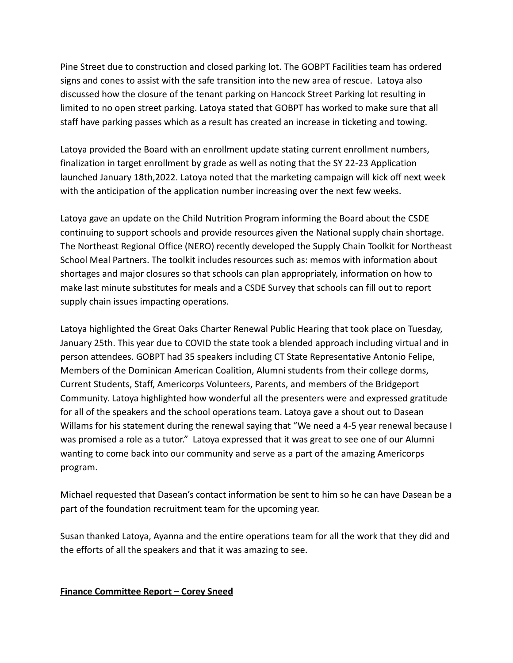Pine Street due to construction and closed parking lot. The GOBPT Facilities team has ordered signs and cones to assist with the safe transition into the new area of rescue. Latoya also discussed how the closure of the tenant parking on Hancock Street Parking lot resulting in limited to no open street parking. Latoya stated that GOBPT has worked to make sure that all staff have parking passes which as a result has created an increase in ticketing and towing.

Latoya provided the Board with an enrollment update stating current enrollment numbers, finalization in target enrollment by grade as well as noting that the SY 22-23 Application launched January 18th,2022. Latoya noted that the marketing campaign will kick off next week with the anticipation of the application number increasing over the next few weeks.

Latoya gave an update on the Child Nutrition Program informing the Board about the CSDE continuing to support schools and provide resources given the National supply chain shortage. The Northeast Regional Office (NERO) recently developed the Supply Chain Toolkit for Northeast School Meal Partners. The toolkit includes resources such as: memos with information about shortages and major closures so that schools can plan appropriately, information on how to make last minute substitutes for meals and a CSDE Survey that schools can fill out to report supply chain issues impacting operations.

Latoya highlighted the Great Oaks Charter Renewal Public Hearing that took place on Tuesday, January 25th. This year due to COVID the state took a blended approach including virtual and in person attendees. GOBPT had 35 speakers including CT State Representative Antonio Felipe, Members of the Dominican American Coalition, Alumni students from their college dorms, Current Students, Staff, Americorps Volunteers, Parents, and members of the Bridgeport Community. Latoya highlighted how wonderful all the presenters were and expressed gratitude for all of the speakers and the school operations team. Latoya gave a shout out to Dasean Willams for his statement during the renewal saying that "We need a 4-5 year renewal because I was promised a role as a tutor." Latoya expressed that it was great to see one of our Alumni wanting to come back into our community and serve as a part of the amazing Americorps program.

Michael requested that Dasean's contact information be sent to him so he can have Dasean be a part of the foundation recruitment team for the upcoming year.

Susan thanked Latoya, Ayanna and the entire operations team for all the work that they did and the efforts of all the speakers and that it was amazing to see.

# **Finance Committee Report – Corey Sneed**